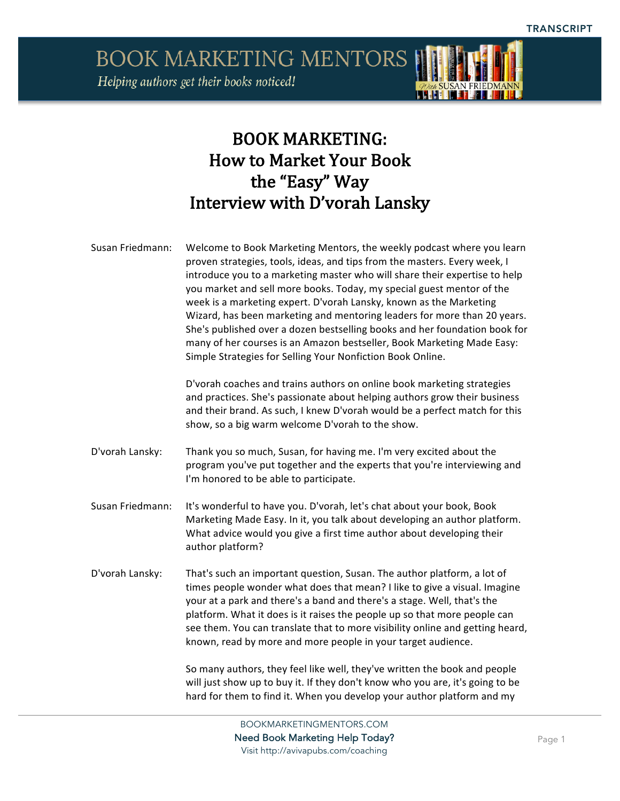Helping authors get their books noticed!



### **BOOK MARKETING:** How to Market Your Book the "Easy" Way Interview with D'vorah Lansky

| Susan Friedmann: | Welcome to Book Marketing Mentors, the weekly podcast where you learn<br>proven strategies, tools, ideas, and tips from the masters. Every week, I<br>introduce you to a marketing master who will share their expertise to help<br>you market and sell more books. Today, my special guest mentor of the<br>week is a marketing expert. D'vorah Lansky, known as the Marketing<br>Wizard, has been marketing and mentoring leaders for more than 20 years.<br>She's published over a dozen bestselling books and her foundation book for<br>many of her courses is an Amazon bestseller, Book Marketing Made Easy:<br>Simple Strategies for Selling Your Nonfiction Book Online. |
|------------------|-----------------------------------------------------------------------------------------------------------------------------------------------------------------------------------------------------------------------------------------------------------------------------------------------------------------------------------------------------------------------------------------------------------------------------------------------------------------------------------------------------------------------------------------------------------------------------------------------------------------------------------------------------------------------------------|
|                  | D'vorah coaches and trains authors on online book marketing strategies<br>and practices. She's passionate about helping authors grow their business<br>and their brand. As such, I knew D'vorah would be a perfect match for this<br>show, so a big warm welcome D'vorah to the show.                                                                                                                                                                                                                                                                                                                                                                                             |
| D'vorah Lansky:  | Thank you so much, Susan, for having me. I'm very excited about the<br>program you've put together and the experts that you're interviewing and<br>I'm honored to be able to participate.                                                                                                                                                                                                                                                                                                                                                                                                                                                                                         |
| Susan Friedmann: | It's wonderful to have you. D'vorah, let's chat about your book, Book<br>Marketing Made Easy. In it, you talk about developing an author platform.<br>What advice would you give a first time author about developing their<br>author platform?                                                                                                                                                                                                                                                                                                                                                                                                                                   |
| D'vorah Lansky:  | That's such an important question, Susan. The author platform, a lot of<br>times people wonder what does that mean? I like to give a visual. Imagine<br>your at a park and there's a band and there's a stage. Well, that's the<br>platform. What it does is it raises the people up so that more people can<br>see them. You can translate that to more visibility online and getting heard,<br>known, read by more and more people in your target audience.                                                                                                                                                                                                                     |
|                  | So many authors, they feel like well, they've written the book and people<br>will just show up to buy it. If they don't know who you are, it's going to be<br>hard for them to find it. When you develop your author platform and my                                                                                                                                                                                                                                                                                                                                                                                                                                              |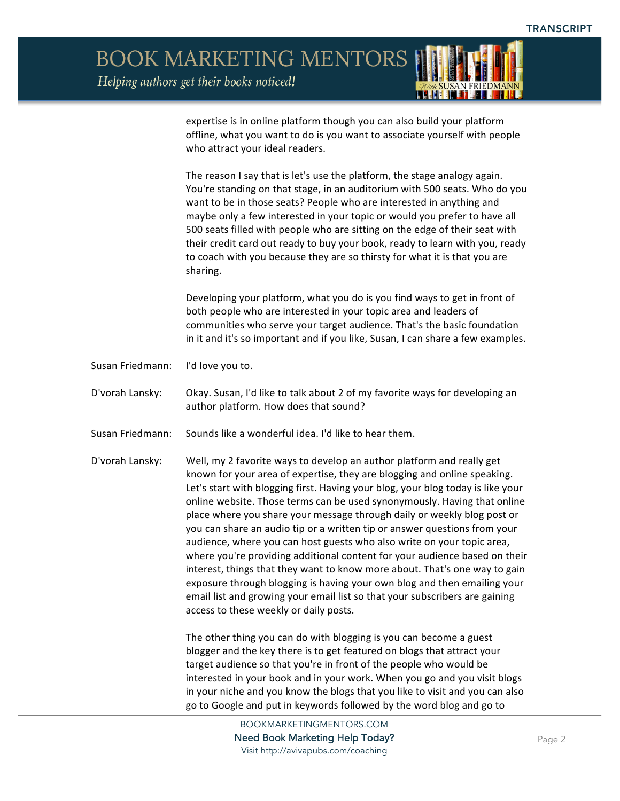Helping authors get their books noticed!



expertise is in online platform though you can also build your platform offline, what you want to do is you want to associate yourself with people who attract your ideal readers.

The reason I say that is let's use the platform, the stage analogy again. You're standing on that stage, in an auditorium with 500 seats. Who do you want to be in those seats? People who are interested in anything and maybe only a few interested in your topic or would you prefer to have all 500 seats filled with people who are sitting on the edge of their seat with their credit card out ready to buy your book, ready to learn with you, ready to coach with you because they are so thirsty for what it is that you are sharing.

Developing your platform, what you do is you find ways to get in front of both people who are interested in your topic area and leaders of communities who serve your target audience. That's the basic foundation in it and it's so important and if you like, Susan, I can share a few examples.

Susan Friedmann: I'd love you to.

D'vorah Lansky: Okay. Susan, I'd like to talk about 2 of my favorite ways for developing an author platform. How does that sound?

- Susan Friedmann: Sounds like a wonderful idea. I'd like to hear them.
- D'vorah Lansky: Well, my 2 favorite ways to develop an author platform and really get known for your area of expertise, they are blogging and online speaking. Let's start with blogging first. Having your blog, your blog today is like your online website. Those terms can be used synonymously. Having that online place where you share your message through daily or weekly blog post or you can share an audio tip or a written tip or answer questions from your audience, where you can host guests who also write on your topic area, where you're providing additional content for your audience based on their interest, things that they want to know more about. That's one way to gain exposure through blogging is having your own blog and then emailing your email list and growing your email list so that your subscribers are gaining access to these weekly or daily posts.

The other thing you can do with blogging is you can become a guest blogger and the key there is to get featured on blogs that attract your target audience so that you're in front of the people who would be interested in your book and in your work. When you go and you visit blogs in your niche and you know the blogs that you like to visit and you can also go to Google and put in keywords followed by the word blog and go to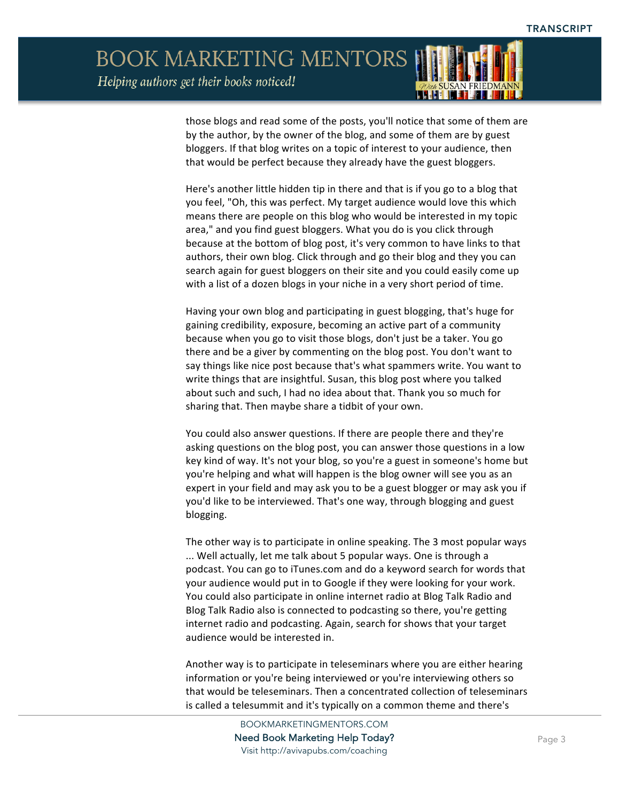

those blogs and read some of the posts, you'll notice that some of them are by the author, by the owner of the blog, and some of them are by guest bloggers. If that blog writes on a topic of interest to your audience, then that would be perfect because they already have the guest bloggers.

Here's another little hidden tip in there and that is if you go to a blog that you feel, "Oh, this was perfect. My target audience would love this which means there are people on this blog who would be interested in my topic area," and you find guest bloggers. What you do is you click through because at the bottom of blog post, it's very common to have links to that authors, their own blog. Click through and go their blog and they you can search again for guest bloggers on their site and you could easily come up with a list of a dozen blogs in your niche in a very short period of time.

Having your own blog and participating in guest blogging, that's huge for gaining credibility, exposure, becoming an active part of a community because when you go to visit those blogs, don't just be a taker. You go there and be a giver by commenting on the blog post. You don't want to say things like nice post because that's what spammers write. You want to write things that are insightful. Susan, this blog post where you talked about such and such, I had no idea about that. Thank you so much for sharing that. Then maybe share a tidbit of your own.

You could also answer questions. If there are people there and they're asking questions on the blog post, you can answer those questions in a low key kind of way. It's not your blog, so you're a guest in someone's home but you're helping and what will happen is the blog owner will see you as an expert in your field and may ask you to be a guest blogger or may ask you if you'd like to be interviewed. That's one way, through blogging and guest blogging.

The other way is to participate in online speaking. The 3 most popular ways ... Well actually, let me talk about 5 popular ways. One is through a podcast. You can go to iTunes.com and do a keyword search for words that your audience would put in to Google if they were looking for your work. You could also participate in online internet radio at Blog Talk Radio and Blog Talk Radio also is connected to podcasting so there, you're getting internet radio and podcasting. Again, search for shows that your target audience would be interested in.

Another way is to participate in teleseminars where you are either hearing information or you're being interviewed or you're interviewing others so that would be teleseminars. Then a concentrated collection of teleseminars is called a telesummit and it's typically on a common theme and there's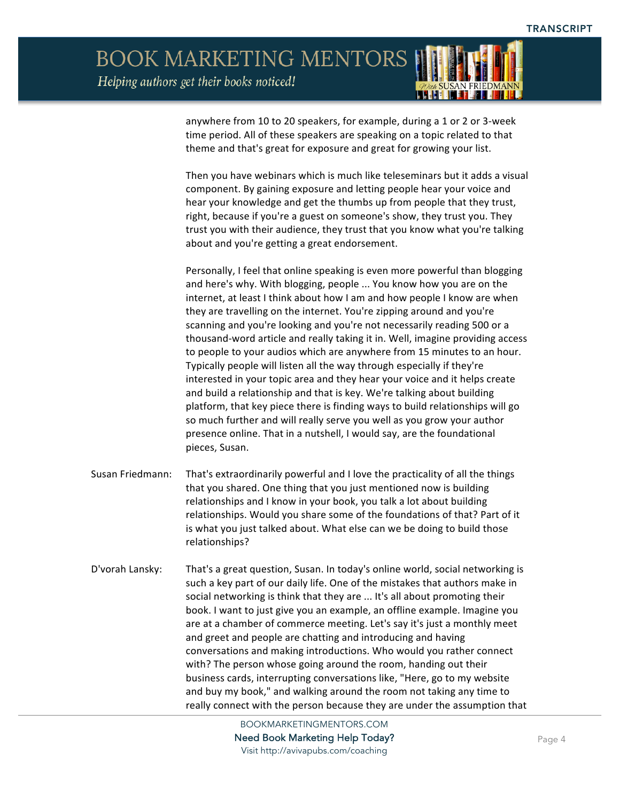

anywhere from 10 to 20 speakers, for example, during a 1 or 2 or 3-week time period. All of these speakers are speaking on a topic related to that theme and that's great for exposure and great for growing your list.

Then you have webinars which is much like teleseminars but it adds a visual component. By gaining exposure and letting people hear your voice and hear your knowledge and get the thumbs up from people that they trust, right, because if you're a guest on someone's show, they trust you. They trust you with their audience, they trust that you know what you're talking about and you're getting a great endorsement.

Personally, I feel that online speaking is even more powerful than blogging and here's why. With blogging, people ... You know how you are on the internet, at least I think about how I am and how people I know are when they are travelling on the internet. You're zipping around and you're scanning and you're looking and you're not necessarily reading 500 or a thousand-word article and really taking it in. Well, imagine providing access to people to your audios which are anywhere from 15 minutes to an hour. Typically people will listen all the way through especially if they're interested in your topic area and they hear your voice and it helps create and build a relationship and that is key. We're talking about building platform, that key piece there is finding ways to build relationships will go so much further and will really serve you well as you grow your author presence online. That in a nutshell, I would say, are the foundational pieces, Susan.

- Susan Friedmann: That's extraordinarily powerful and I love the practicality of all the things that you shared. One thing that you just mentioned now is building relationships and I know in your book, you talk a lot about building relationships. Would you share some of the foundations of that? Part of it is what you just talked about. What else can we be doing to build those relationships?
- D'vorah Lansky: That's a great question, Susan. In today's online world, social networking is such a key part of our daily life. One of the mistakes that authors make in social networking is think that they are ... It's all about promoting their book. I want to just give you an example, an offline example. Imagine you are at a chamber of commerce meeting. Let's say it's just a monthly meet and greet and people are chatting and introducing and having conversations and making introductions. Who would you rather connect with? The person whose going around the room, handing out their business cards, interrupting conversations like, "Here, go to my website and buy my book," and walking around the room not taking any time to really connect with the person because they are under the assumption that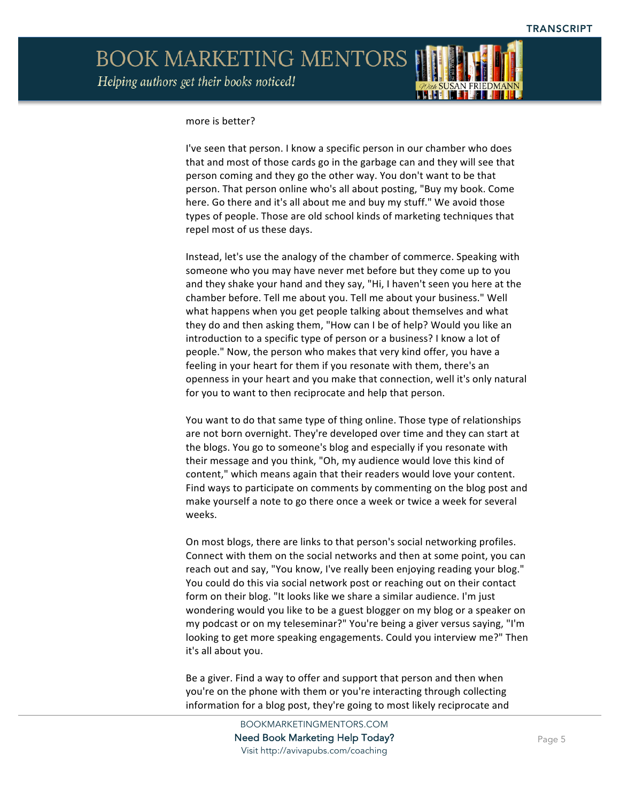

#### more is better?

I've seen that person. I know a specific person in our chamber who does that and most of those cards go in the garbage can and they will see that person coming and they go the other way. You don't want to be that person. That person online who's all about posting, "Buy my book. Come here. Go there and it's all about me and buy my stuff." We avoid those types of people. Those are old school kinds of marketing techniques that repel most of us these days.

Instead, let's use the analogy of the chamber of commerce. Speaking with someone who you may have never met before but they come up to you and they shake your hand and they say, "Hi, I haven't seen you here at the chamber before. Tell me about you. Tell me about your business." Well what happens when you get people talking about themselves and what they do and then asking them, "How can I be of help? Would you like an introduction to a specific type of person or a business? I know a lot of people." Now, the person who makes that very kind offer, you have a feeling in your heart for them if you resonate with them, there's an openness in your heart and you make that connection, well it's only natural for you to want to then reciprocate and help that person.

You want to do that same type of thing online. Those type of relationships are not born overnight. They're developed over time and they can start at the blogs. You go to someone's blog and especially if you resonate with their message and you think, "Oh, my audience would love this kind of content," which means again that their readers would love your content. Find ways to participate on comments by commenting on the blog post and make yourself a note to go there once a week or twice a week for several weeks.

On most blogs, there are links to that person's social networking profiles. Connect with them on the social networks and then at some point, you can reach out and say, "You know, I've really been enjoying reading your blog." You could do this via social network post or reaching out on their contact form on their blog. "It looks like we share a similar audience. I'm just wondering would you like to be a guest blogger on my blog or a speaker on my podcast or on my teleseminar?" You're being a giver versus saying, "I'm looking to get more speaking engagements. Could you interview me?" Then it's all about you.

Be a giver. Find a way to offer and support that person and then when you're on the phone with them or you're interacting through collecting information for a blog post, they're going to most likely reciprocate and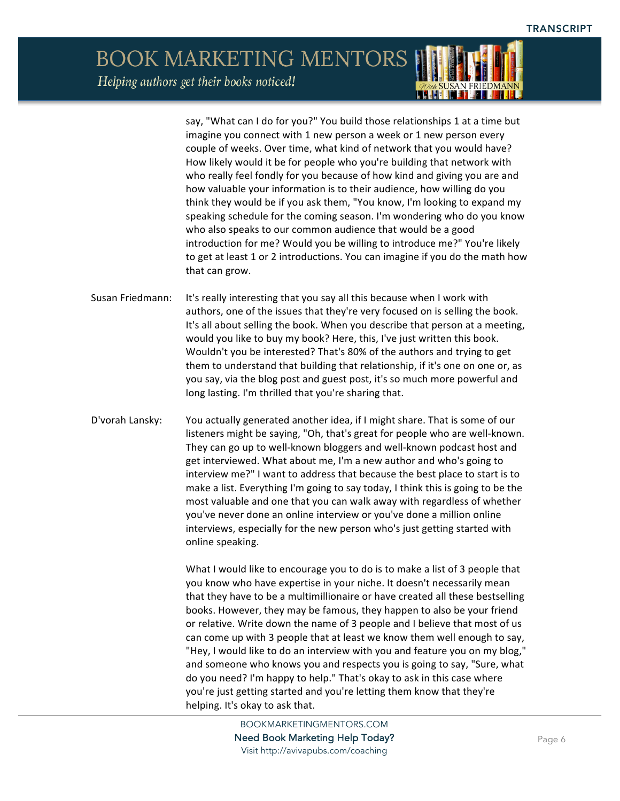say, "What can I do for you?" You build those relationships 1 at a time but imagine you connect with 1 new person a week or 1 new person every couple of weeks. Over time, what kind of network that you would have? How likely would it be for people who you're building that network with who really feel fondly for you because of how kind and giving you are and how valuable your information is to their audience, how willing do you think they would be if you ask them, "You know, I'm looking to expand my speaking schedule for the coming season. I'm wondering who do you know who also speaks to our common audience that would be a good introduction for me? Would you be willing to introduce me?" You're likely to get at least 1 or 2 introductions. You can imagine if you do the math how that can grow.

**HEIM** 

- Susan Friedmann: It's really interesting that you say all this because when I work with authors, one of the issues that they're very focused on is selling the book. It's all about selling the book. When you describe that person at a meeting, would you like to buy my book? Here, this, I've just written this book. Wouldn't you be interested? That's 80% of the authors and trying to get them to understand that building that relationship, if it's one on one or, as you say, via the blog post and guest post, it's so much more powerful and long lasting. I'm thrilled that you're sharing that.
- D'vorah Lansky: You actually generated another idea, if I might share. That is some of our listeners might be saying, "Oh, that's great for people who are well-known. They can go up to well-known bloggers and well-known podcast host and get interviewed. What about me, I'm a new author and who's going to interview me?" I want to address that because the best place to start is to make a list. Everything I'm going to say today, I think this is going to be the most valuable and one that you can walk away with regardless of whether you've never done an online interview or you've done a million online interviews, especially for the new person who's just getting started with online speaking.

What I would like to encourage you to do is to make a list of 3 people that you know who have expertise in your niche. It doesn't necessarily mean that they have to be a multimillionaire or have created all these bestselling books. However, they may be famous, they happen to also be your friend or relative. Write down the name of 3 people and I believe that most of us can come up with 3 people that at least we know them well enough to say, "Hey, I would like to do an interview with you and feature you on my blog," and someone who knows you and respects you is going to say, "Sure, what do you need? I'm happy to help." That's okay to ask in this case where you're just getting started and you're letting them know that they're helping. It's okay to ask that.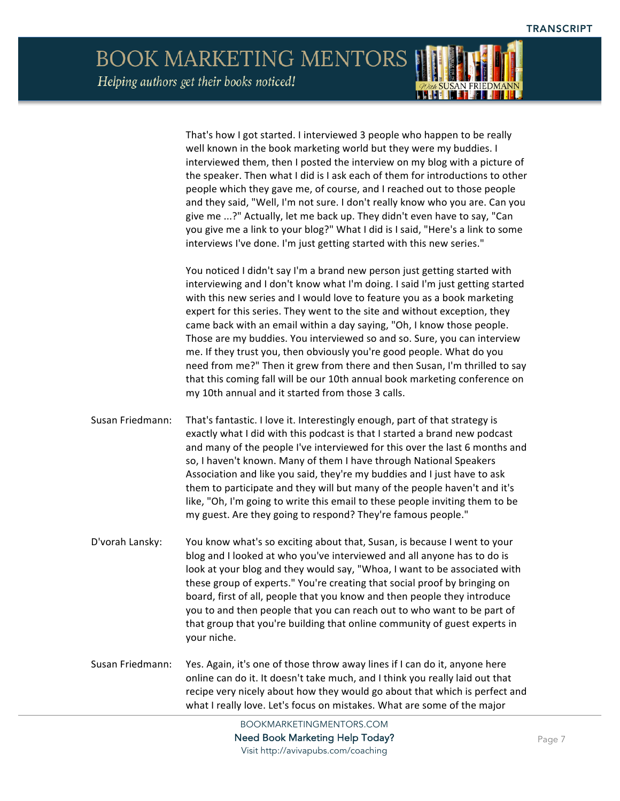That's how I got started. I interviewed 3 people who happen to be really well known in the book marketing world but they were my buddies. I interviewed them, then I posted the interview on my blog with a picture of the speaker. Then what I did is I ask each of them for introductions to other people which they gave me, of course, and I reached out to those people and they said, "Well, I'm not sure. I don't really know who you are. Can you give me ...?" Actually, let me back up. They didn't even have to say, "Can you give me a link to your blog?" What I did is I said, "Here's a link to some interviews I've done. I'm just getting started with this new series." You noticed I didn't say I'm a brand new person just getting started with interviewing and I don't know what I'm doing. I said I'm just getting started with this new series and I would love to feature you as a book marketing expert for this series. They went to the site and without exception, they came back with an email within a day saying, "Oh, I know those people. Those are my buddies. You interviewed so and so. Sure, you can interview me. If they trust you, then obviously you're good people. What do you need from me?" Then it grew from there and then Susan, I'm thrilled to say that this coming fall will be our 10th annual book marketing conference on my 10th annual and it started from those 3 calls. Susan Friedmann: That's fantastic. I love it. Interestingly enough, part of that strategy is exactly what I did with this podcast is that I started a brand new podcast and many of the people I've interviewed for this over the last 6 months and so, I haven't known. Many of them I have through National Speakers Association and like you said, they're my buddies and I just have to ask them to participate and they will but many of the people haven't and it's like, "Oh, I'm going to write this email to these people inviting them to be my guest. Are they going to respond? They're famous people." D'vorah Lansky: You know what's so exciting about that, Susan, is because I went to your blog and I looked at who you've interviewed and all anyone has to do is look at your blog and they would say, "Whoa, I want to be associated with these group of experts." You're creating that social proof by bringing on board, first of all, people that you know and then people they introduce you to and then people that you can reach out to who want to be part of that group that you're building that online community of guest experts in your niche. Susan Friedmann: Yes. Again, it's one of those throw away lines if I can do it, anyone here online can do it. It doesn't take much, and I think you really laid out that recipe very nicely about how they would go about that which is perfect and what I really love. Let's focus on mistakes. What are some of the major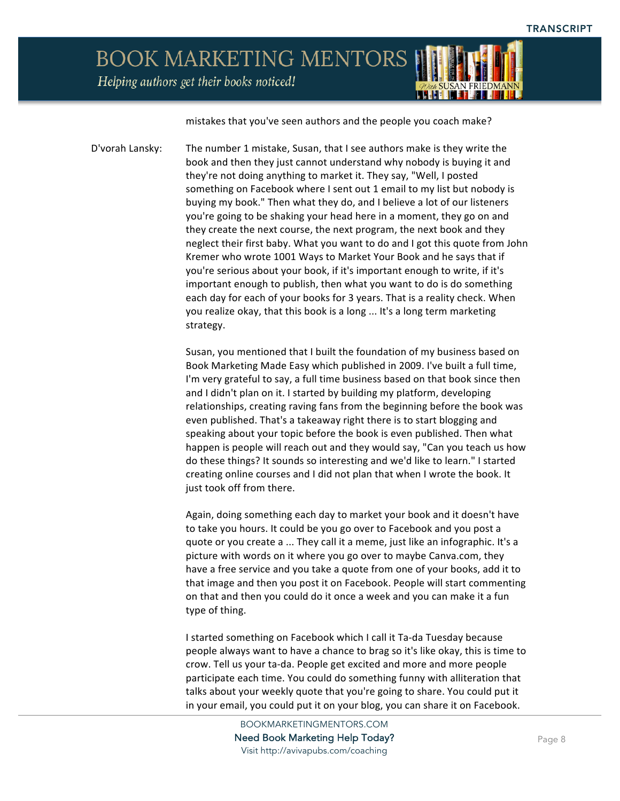Helping authors get their books noticed!

mistakes that you've seen authors and the people you coach make?

**HILL** 

D'vorah Lansky: The number 1 mistake, Susan, that I see authors make is they write the book and then they just cannot understand why nobody is buying it and they're not doing anything to market it. They say, "Well, I posted something on Facebook where I sent out 1 email to my list but nobody is buying my book." Then what they do, and I believe a lot of our listeners you're going to be shaking your head here in a moment, they go on and they create the next course, the next program, the next book and they neglect their first baby. What you want to do and I got this quote from John Kremer who wrote 1001 Ways to Market Your Book and he says that if you're serious about your book, if it's important enough to write, if it's important enough to publish, then what you want to do is do something each day for each of your books for 3 years. That is a reality check. When you realize okay, that this book is a long ... It's a long term marketing strategy.

> Susan, you mentioned that I built the foundation of my business based on Book Marketing Made Easy which published in 2009. I've built a full time, I'm very grateful to say, a full time business based on that book since then and I didn't plan on it. I started by building my platform, developing relationships, creating raving fans from the beginning before the book was even published. That's a takeaway right there is to start blogging and speaking about your topic before the book is even published. Then what happen is people will reach out and they would say, "Can you teach us how do these things? It sounds so interesting and we'd like to learn." I started creating online courses and I did not plan that when I wrote the book. It just took off from there.

> Again, doing something each day to market your book and it doesn't have to take you hours. It could be you go over to Facebook and you post a quote or you create a ... They call it a meme, just like an infographic. It's a picture with words on it where you go over to maybe Canva.com, they have a free service and you take a quote from one of your books, add it to that image and then you post it on Facebook. People will start commenting on that and then you could do it once a week and you can make it a fun type of thing.

> I started something on Facebook which I call it Ta-da Tuesday because people always want to have a chance to brag so it's like okay, this is time to crow. Tell us your ta-da. People get excited and more and more people participate each time. You could do something funny with alliteration that talks about your weekly quote that you're going to share. You could put it in your email, you could put it on your blog, you can share it on Facebook.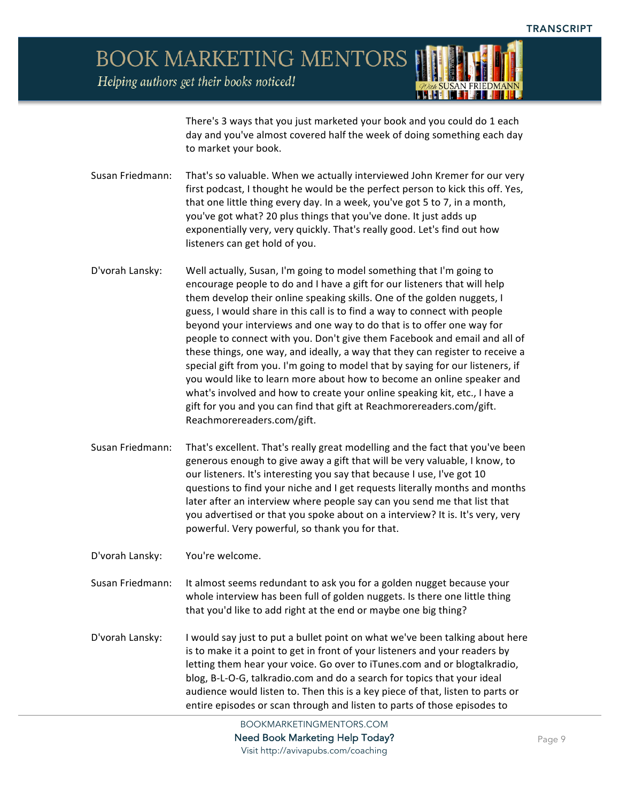Helping authors get their books noticed!



There's 3 ways that you just marketed your book and you could do 1 each day and you've almost covered half the week of doing something each day to market your book.

- Susan Friedmann: That's so valuable. When we actually interviewed John Kremer for our very first podcast, I thought he would be the perfect person to kick this off. Yes, that one little thing every day. In a week, you've got 5 to 7, in a month, you've got what? 20 plus things that you've done. It just adds up exponentially very, very quickly. That's really good. Let's find out how listeners can get hold of you.
- D'vorah Lansky: Well actually, Susan, I'm going to model something that I'm going to encourage people to do and I have a gift for our listeners that will help them develop their online speaking skills. One of the golden nuggets, I guess, I would share in this call is to find a way to connect with people beyond your interviews and one way to do that is to offer one way for people to connect with you. Don't give them Facebook and email and all of these things, one way, and ideally, a way that they can register to receive a special gift from you. I'm going to model that by saying for our listeners, if you would like to learn more about how to become an online speaker and what's involved and how to create your online speaking kit, etc., I have a gift for you and you can find that gift at Reachmorereaders.com/gift. Reachmorereaders.com/gift.
- Susan Friedmann: That's excellent. That's really great modelling and the fact that you've been generous enough to give away a gift that will be very valuable, I know, to our listeners. It's interesting you say that because I use, I've got 10 questions to find your niche and I get requests literally months and months later after an interview where people say can you send me that list that you advertised or that you spoke about on a interview? It is. It's very, very powerful. Very powerful, so thank you for that.

D'vorah Lansky: You're welcome.

Susan Friedmann: It almost seems redundant to ask you for a golden nugget because your whole interview has been full of golden nuggets. Is there one little thing that you'd like to add right at the end or maybe one big thing?

D'vorah Lansky: I would say just to put a bullet point on what we've been talking about here is to make it a point to get in front of your listeners and your readers by letting them hear your voice. Go over to iTunes.com and or blogtalkradio, blog, B-L-O-G, talkradio.com and do a search for topics that your ideal audience would listen to. Then this is a key piece of that, listen to parts or entire episodes or scan through and listen to parts of those episodes to